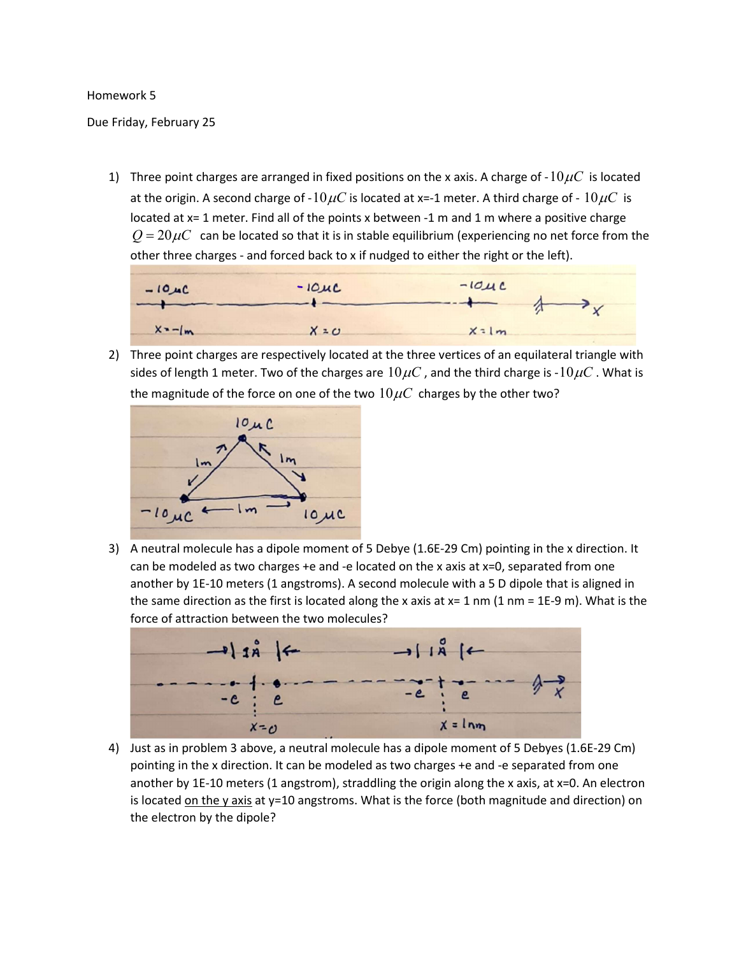## Homework 5

## Due Friday, February 25

1) Three point charges are arranged in fixed positions on the x axis. A charge of -10  $\mu$ C is located at the origin. A second charge of -10 $\mu$ C is located at x=-1 meter. A third charge of - 10 $\mu$ C is located at x= 1 meter. Find all of the points x between -1 m and 1 m where a positive charge  $Q = 20 \mu C$  can be located so that it is in stable equilibrium (experiencing no net force from the other three charges - and forced back to x if nudged to either the right or the left).



2) Three point charges are respectively located at the three vertices of an equilateral triangle with sides of length 1 meter. Two of the charges are  $10\mu C$ , and the third charge is - $10\mu C$ . What is the magnitude of the force on one of the two  $10\mu C$  charges by the other two?



3) A neutral molecule has a dipole moment of 5 Debye (1.6E-29 Cm) pointing in the x direction. It can be modeled as two charges  $+e$  and  $-e$  located on the x axis at  $x=0$ , separated from one another by 1E-10 meters (1 angstroms). A second molecule with a 5 D dipole that is aligned in the same direction as the first is located along the x axis at  $x=1$  nm  $(1 \text{ nm} = 1E-9 \text{ m})$ . What is the force of attraction between the two molecules?



4) Just as in problem 3 above, a neutral molecule has a dipole moment of 5 Debyes (1.6E-29 Cm) pointing in the x direction. It can be modeled as two charges +e and -e separated from one another by 1E-10 meters (1 angstrom), straddling the origin along the x axis, at x=0. An electron is located on the y axis at y=10 angstroms. What is the force (both magnitude and direction) on the electron by the dipole?